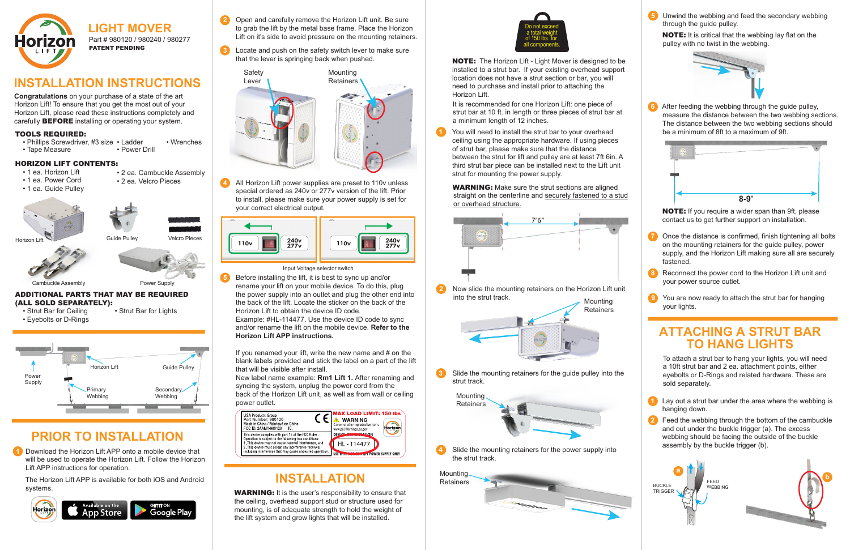NOTE: The Horizon Lift - Light Mover is designed to be installed to a strut bar. If your existing overhead support location does not have a strut section or bar, you will need to purchase and install prior to attaching the Horizon Lift.

**WARNING:** Make sure the strut sections are aligned straight on the centerline and securely fastened to a stud or overhead structure.

**Congratulations** on your purchase of a state of the art Horizon Lift! To ensure that you get the most out of your Horizon Lift, please read these instructions completely and carefully **BEFORE** installing or operating your system.

> **1** You will need to install the strut bar to your overhead ceiling using the appropriate hardware. If using pieces of strut bar, please make sure that the distance between the strut for lift and pulley are at least 7ft 6in. A third strut bar piece can be installed next to the Lift unit strut for mounting the power supply.

## **INSTALLATION INSTRUCTIONS**

It is recommended for one Horizon Lift: one piece of strut bar at 10 ft. in length or three pieces of strut bar at a minimum length of 12 inches.

**1** Download the Horizon Lift APP onto a mobile device that will be used to operate the Horizon Lift. Follow the Horizon Lift APP instructions for operation.

 The Horizon Lift APP is available for both iOS and Android systems.<br> **WARNING:** It is the user's responsibility to ensure that







# **PRIOR TO INSTALLATION**

the ceiling, overhead support stud or structure used for mounting, is of adequate strength to hold the weight of the lift system and grow lights that will be installed.



- Phillips Screwdriver, #3 size Ladder • Wrenches
- Tape Measure
- Power Drill



All Horizon Lift power supplies are preset to 110v unless special ordered as 240v or 277v version of the lift. Prior to install, please make sure your power supply is set for your correct electrical output. **4**



- **2** Open and carefully remove the Horizon Lift unit. Be sure to grab the lift by the metal base frame. Place the Horizon Lift on it's side to avoid pressure on the mounting retainers.
- **3** Locate and push on the safety switch lever to make sure that the lever is springing back when pushed.

# **INSTALLATION**



Input Voltage selector switch

Before installing the lift, it is best to sync up and/or rename your lift on your mobile device. To do this, plug the power supply into an outlet and plug the other end into the back of the lift. Locate the sticker on the back of the Horizon Lift to obtain the device ID code. Example: #HL-114477. Use the device ID code to sync and/or rename the lift on the mobile device. **Refer to the 5**

**Horizon Lift APP instructions.**

If you renamed your lift, write the new name and # on the blank labels provided and stick the label on a part of the lift that will be visible after install.

New label name example: **Rm1 Lift 1.** After renaming and syncing the system, unplug the power cord from the back of the Horizon Lift unit, as well as from wall or ceiling power outlet.





### Part # 980120 / 980240 / 980277 PATENT PENDING **LIGHT MOVER**



### HORIZON LIFT CONTENTS:

- 1 ea. Horizon Lift
- 1 ea. Power Cord
- 1 ea. Guide Pulley
- 2 ea. Cambuckle Assembly • 2 ea. Velcro Pieces

- ADDITIONAL PARTS THAT MAY BE REQUIRED (ALL SOLD SEPARATELY):
- Strut Bar for Ceiling Strut Bar for Lights • Eyebolts or D-Rings

#### Cambuckle Assembly

Guide Pulley Velcro Pieces





### TOOLS REQUIRED: